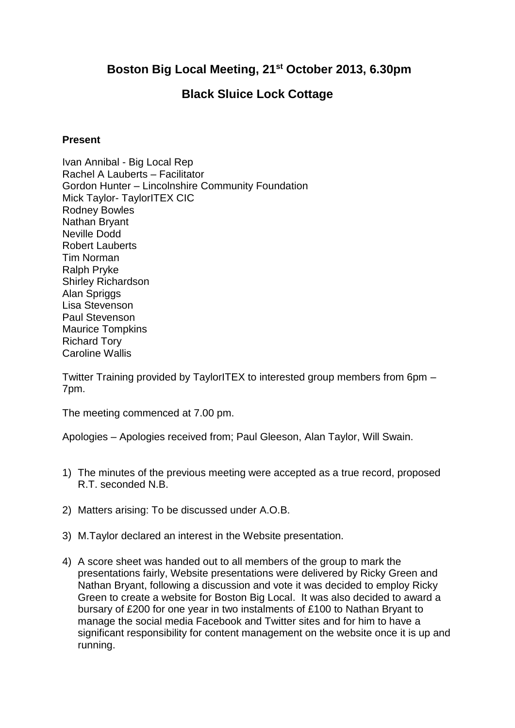## **Boston Big Local Meeting, 21st October 2013, 6.30pm**

## **Black Sluice Lock Cottage**

## **Present**

Ivan Annibal - Big Local Rep Rachel A Lauberts – Facilitator Gordon Hunter – Lincolnshire Community Foundation Mick Taylor- TaylorITEX CIC Rodney Bowles Nathan Bryant Neville Dodd Robert Lauberts Tim Norman Ralph Pryke Shirley Richardson Alan Spriggs Lisa Stevenson Paul Stevenson Maurice Tompkins Richard Tory Caroline Wallis

Twitter Training provided by TaylorITEX to interested group members from 6pm – 7pm.

The meeting commenced at 7.00 pm.

Apologies – Apologies received from; Paul Gleeson, Alan Taylor, Will Swain.

- 1) The minutes of the previous meeting were accepted as a true record, proposed R.T. seconded N.B.
- 2) Matters arising: To be discussed under A.O.B.
- 3) M.Taylor declared an interest in the Website presentation.
- 4) A score sheet was handed out to all members of the group to mark the presentations fairly, Website presentations were delivered by Ricky Green and Nathan Bryant, following a discussion and vote it was decided to employ Ricky Green to create a website for Boston Big Local. It was also decided to award a bursary of £200 for one year in two instalments of £100 to Nathan Bryant to manage the social media Facebook and Twitter sites and for him to have a significant responsibility for content management on the website once it is up and running.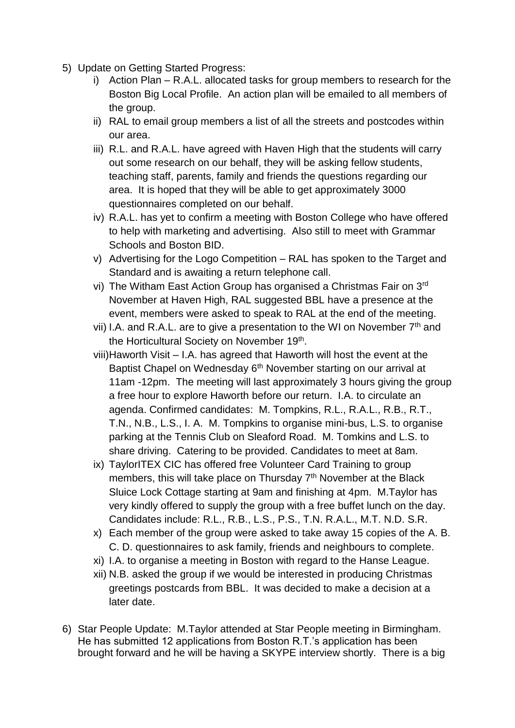- 5) Update on Getting Started Progress:
	- i) Action Plan R.A.L. allocated tasks for group members to research for the Boston Big Local Profile. An action plan will be emailed to all members of the group.
	- ii) RAL to email group members a list of all the streets and postcodes within our area.
	- iii) R.L. and R.A.L. have agreed with Haven High that the students will carry out some research on our behalf, they will be asking fellow students, teaching staff, parents, family and friends the questions regarding our area. It is hoped that they will be able to get approximately 3000 questionnaires completed on our behalf.
	- iv) R.A.L. has yet to confirm a meeting with Boston College who have offered to help with marketing and advertising. Also still to meet with Grammar Schools and Boston BID.
	- v) Advertising for the Logo Competition RAL has spoken to the Target and Standard and is awaiting a return telephone call.
	- vi) The Witham East Action Group has organised a Christmas Fair on 3rd November at Haven High, RAL suggested BBL have a presence at the event, members were asked to speak to RAL at the end of the meeting.
	- vii) I.A. and R.A.L. are to give a presentation to the WI on November  $7<sup>th</sup>$  and the Horticultural Society on November 19<sup>th</sup>.
	- viii)Haworth Visit I.A. has agreed that Haworth will host the event at the Baptist Chapel on Wednesday 6<sup>th</sup> November starting on our arrival at 11am -12pm. The meeting will last approximately 3 hours giving the group a free hour to explore Haworth before our return. I.A. to circulate an agenda. Confirmed candidates: M. Tompkins, R.L., R.A.L., R.B., R.T., T.N., N.B., L.S., I. A. M. Tompkins to organise mini-bus, L.S. to organise parking at the Tennis Club on Sleaford Road. M. Tomkins and L.S. to share driving. Catering to be provided. Candidates to meet at 8am.
	- ix) TaylorITEX CIC has offered free Volunteer Card Training to group members, this will take place on Thursday 7<sup>th</sup> November at the Black Sluice Lock Cottage starting at 9am and finishing at 4pm. M.Taylor has very kindly offered to supply the group with a free buffet lunch on the day. Candidates include: R.L., R.B., L.S., P.S., T.N. R.A.L., M.T. N.D. S.R.
	- x) Each member of the group were asked to take away 15 copies of the A. B. C. D. questionnaires to ask family, friends and neighbours to complete.
	- xi) I.A. to organise a meeting in Boston with regard to the Hanse League.
	- xii) N.B. asked the group if we would be interested in producing Christmas greetings postcards from BBL. It was decided to make a decision at a later date.
- 6) Star People Update: M.Taylor attended at Star People meeting in Birmingham. He has submitted 12 applications from Boston R.T.'s application has been brought forward and he will be having a SKYPE interview shortly. There is a big